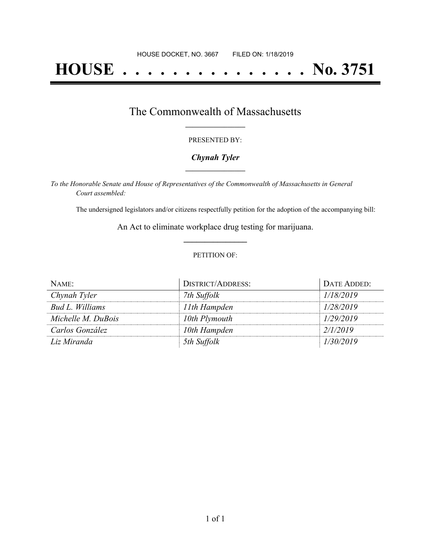# **HOUSE . . . . . . . . . . . . . . . No. 3751**

## The Commonwealth of Massachusetts **\_\_\_\_\_\_\_\_\_\_\_\_\_\_\_\_\_**

#### PRESENTED BY:

## *Chynah Tyler* **\_\_\_\_\_\_\_\_\_\_\_\_\_\_\_\_\_**

*To the Honorable Senate and House of Representatives of the Commonwealth of Massachusetts in General Court assembled:*

The undersigned legislators and/or citizens respectfully petition for the adoption of the accompanying bill:

An Act to eliminate workplace drug testing for marijuana. **\_\_\_\_\_\_\_\_\_\_\_\_\_\_\_**

### PETITION OF:

| NAME:              | <b>DISTRICT/ADDRESS:</b> | DATE ADDED: |
|--------------------|--------------------------|-------------|
| Chynah Tyler       | 7th Suffolk              | 1/18/2019   |
| Bud L. Williams    | 11th Hampden             | 1/28/2019   |
| Michelle M. DuBois | 10th Plymouth            | 1/29/2019   |
| Carlos González    | 10th Hampden             | 2/1/2019    |
| Liz Miranda        | 5th Suffolk              | 1/30/2019   |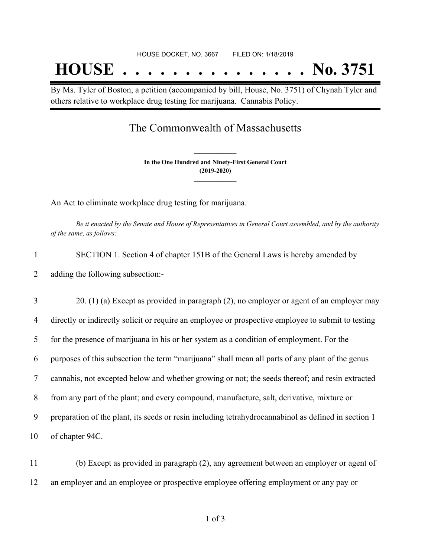By Ms. Tyler of Boston, a petition (accompanied by bill, House, No. 3751) of Chynah Tyler and others relative to workplace drug testing for marijuana. Cannabis Policy.

# The Commonwealth of Massachusetts

**In the One Hundred and Ninety-First General Court (2019-2020) \_\_\_\_\_\_\_\_\_\_\_\_\_\_\_**

**\_\_\_\_\_\_\_\_\_\_\_\_\_\_\_**

An Act to eliminate workplace drug testing for marijuana.

Be it enacted by the Senate and House of Representatives in General Court assembled, and by the authority *of the same, as follows:*

| SECTION 1. Section 4 of chapter 151B of the General Laws is hereby amended by |
|-------------------------------------------------------------------------------|
| adding the following subsection:-                                             |

 20. (1) (a) Except as provided in paragraph (2), no employer or agent of an employer may directly or indirectly solicit or require an employee or prospective employee to submit to testing for the presence of marijuana in his or her system as a condition of employment. For the purposes of this subsection the term "marijuana" shall mean all parts of any plant of the genus cannabis, not excepted below and whether growing or not; the seeds thereof; and resin extracted from any part of the plant; and every compound, manufacture, salt, derivative, mixture or preparation of the plant, its seeds or resin including tetrahydrocannabinol as defined in section 1 of chapter 94C.

11 (b) Except as provided in paragraph (2), any agreement between an employer or agent of 12 an employer and an employee or prospective employee offering employment or any pay or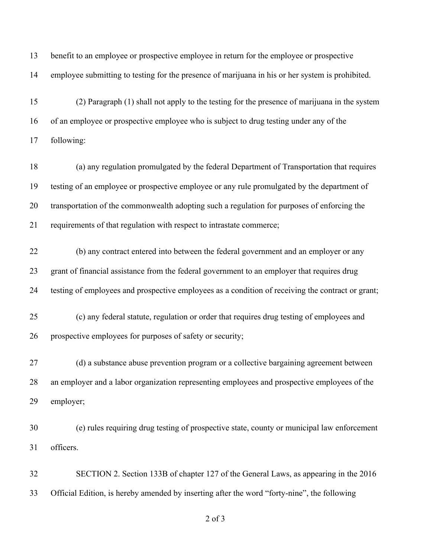benefit to an employee or prospective employee in return for the employee or prospective employee submitting to testing for the presence of marijuana in his or her system is prohibited. (2) Paragraph (1) shall not apply to the testing for the presence of marijuana in the system of an employee or prospective employee who is subject to drug testing under any of the following: (a) any regulation promulgated by the federal Department of Transportation that requires testing of an employee or prospective employee or any rule promulgated by the department of transportation of the commonwealth adopting such a regulation for purposes of enforcing the requirements of that regulation with respect to intrastate commerce; (b) any contract entered into between the federal government and an employer or any grant of financial assistance from the federal government to an employer that requires drug testing of employees and prospective employees as a condition of receiving the contract or grant; (c) any federal statute, regulation or order that requires drug testing of employees and prospective employees for purposes of safety or security; (d) a substance abuse prevention program or a collective bargaining agreement between an employer and a labor organization representing employees and prospective employees of the employer; (e) rules requiring drug testing of prospective state, county or municipal law enforcement officers. SECTION 2. Section 133B of chapter 127 of the General Laws, as appearing in the 2016 Official Edition, is hereby amended by inserting after the word "forty-nine", the following

of 3